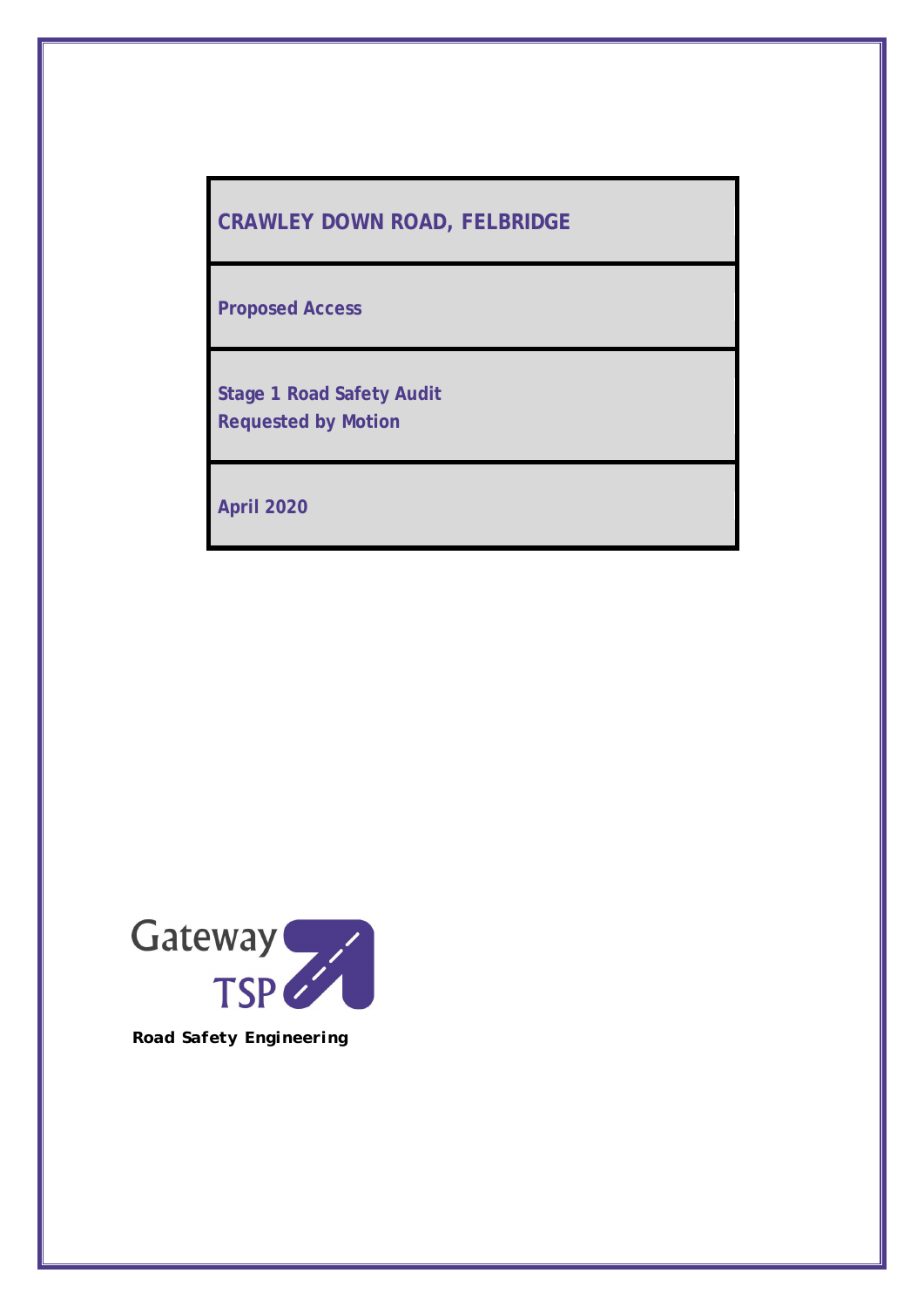# **CRAWLEY DOWN ROAD, FELBRIDGE**

**Proposed Access**

**Stage 1 Road Safety Audit Requested by Motion**

**April 2020**

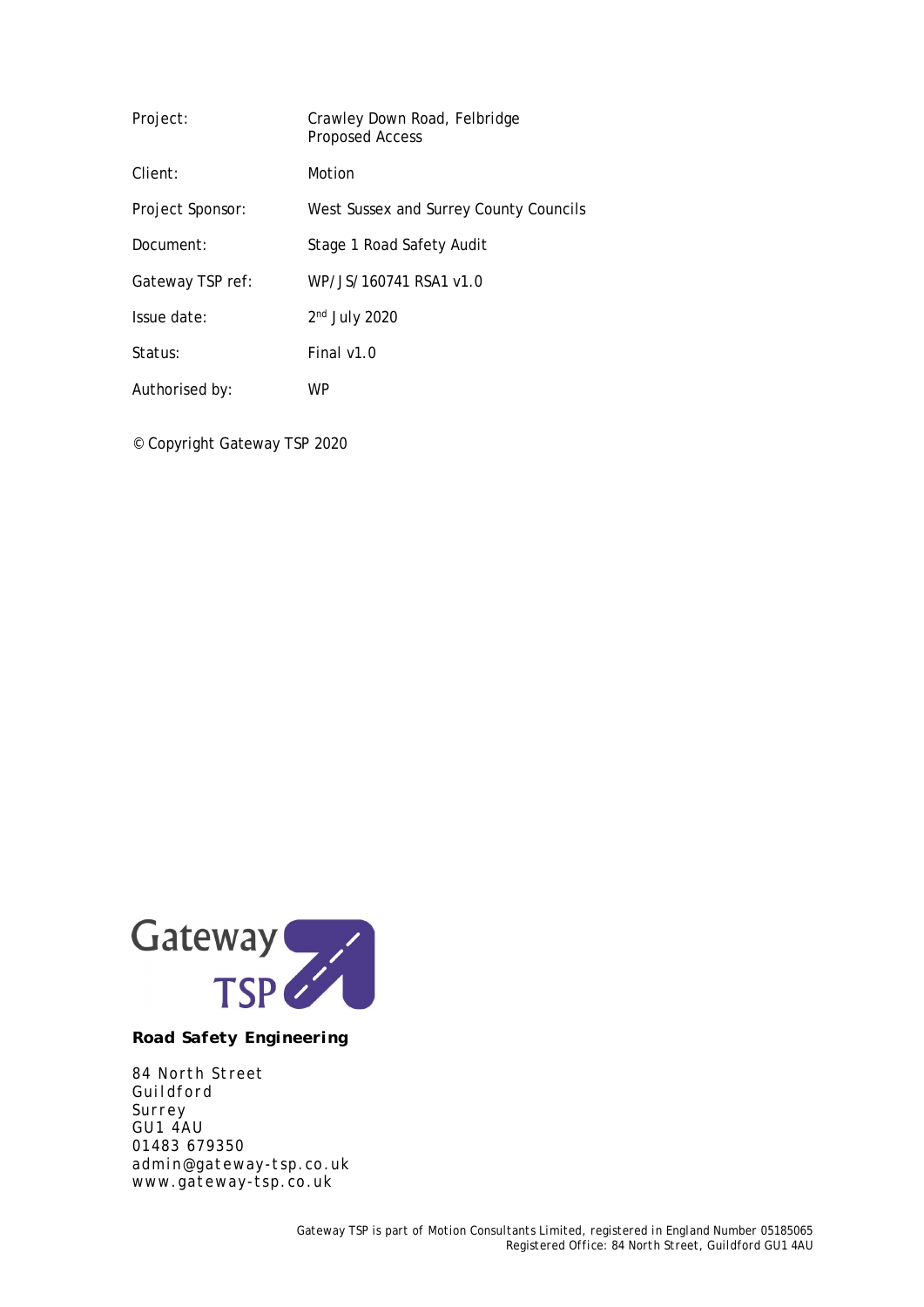| Project:         | Crawley Down Road, Felbridge<br><b>Proposed Access</b> |  |
|------------------|--------------------------------------------------------|--|
| Client:          | Motion                                                 |  |
| Project Sponsor: | West Sussex and Surrey County Councils                 |  |
| Document:        | Stage 1 Road Safety Audit                              |  |
| Gateway TSP ref: | WP/JS/160741 RSA1 v1.0                                 |  |
| Issue date:      | $2nd$ July 2020                                        |  |
| Status:          | Final v1.0                                             |  |
| Authorised by:   | WP                                                     |  |

© Copyright Gateway TSP 2020



*Road Safety Engineering*

*84 North Street Guildford Surrey GU1 4AU 01483 679350 admin@gateway-tsp.co.uk www.gateway-tsp.co.uk*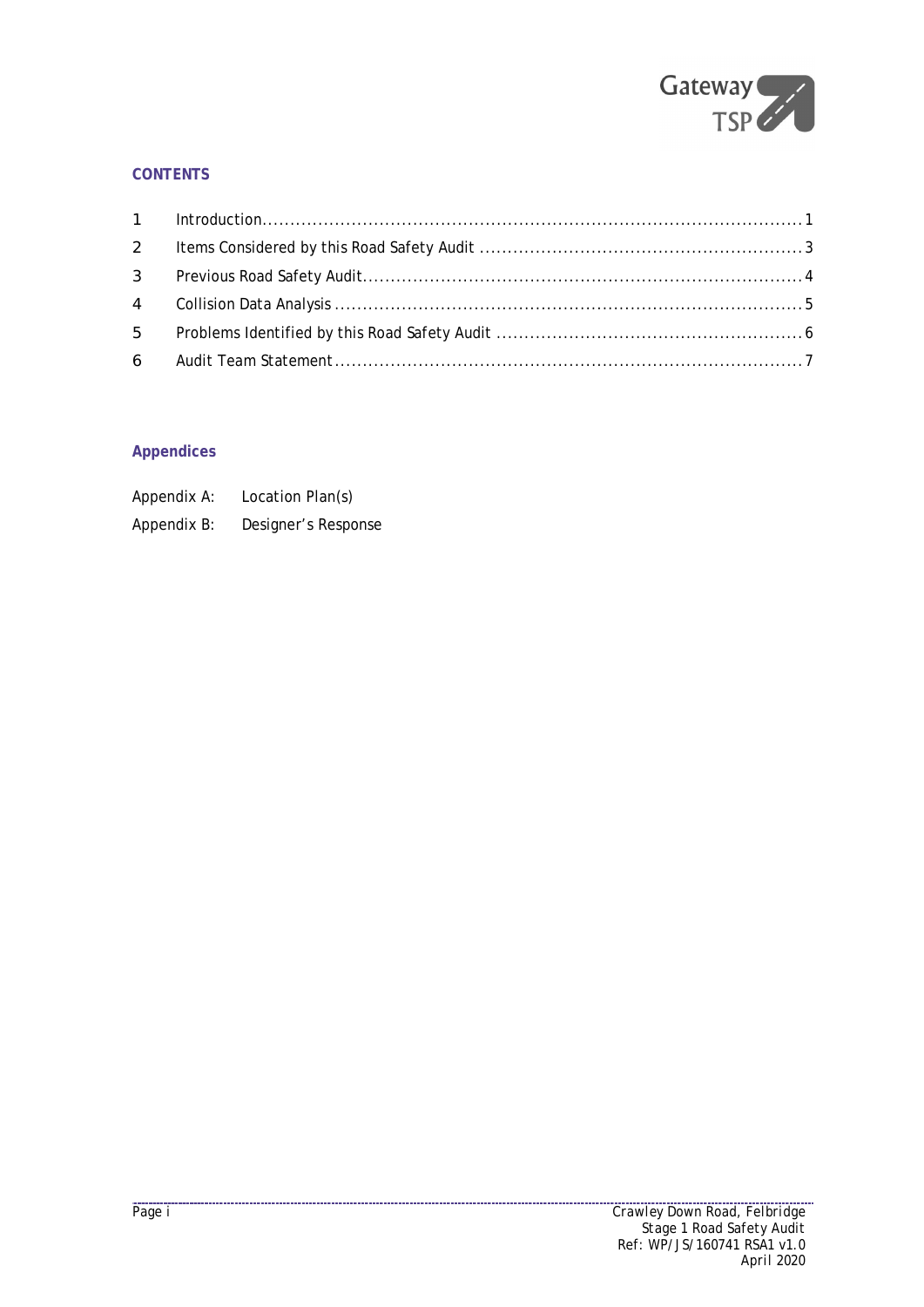

# **CONTENTS**

| $2 \left( \frac{1}{2} \right)$ |  |
|--------------------------------|--|
|                                |  |
|                                |  |
|                                |  |
|                                |  |

# **Appendices**

| Appendix A: | Location Plan(s)    |
|-------------|---------------------|
| Appendix B: | Designer's Response |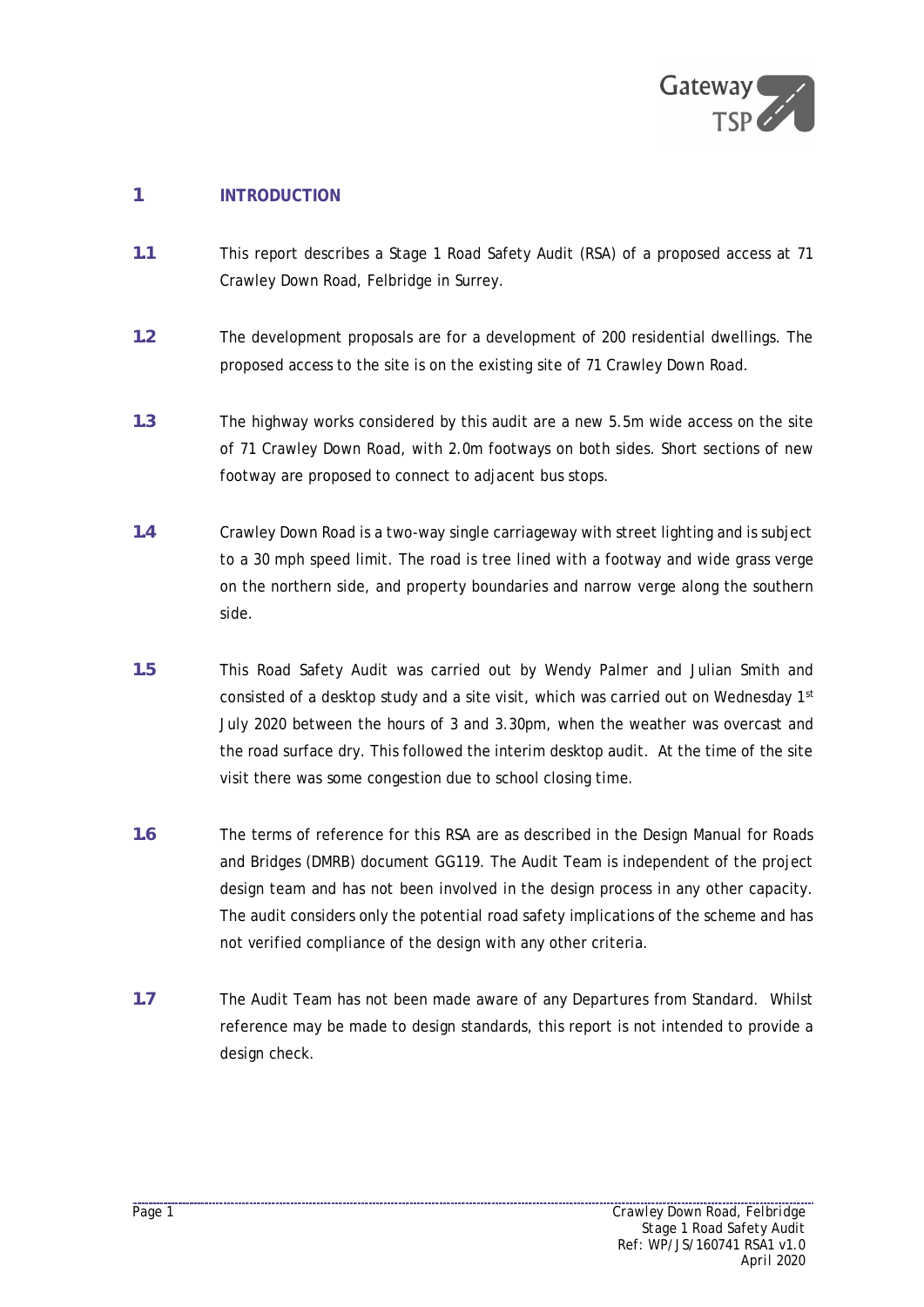

# **1 INTRODUCTION**

- **1.1** This report describes a Stage 1 Road Safety Audit (RSA) of a proposed access at 71 Crawley Down Road, Felbridge in Surrey.
- **1.2** The development proposals are for a development of 200 residential dwellings. The proposed access to the site is on the existing site of 71 Crawley Down Road.
- **1.3** The highway works considered by this audit are a new 5.5m wide access on the site of 71 Crawley Down Road, with 2.0m footways on both sides. Short sections of new footway are proposed to connect to adjacent bus stops.
- **1.4** Crawley Down Road is a two-way single carriageway with street lighting and is subject to a 30 mph speed limit. The road is tree lined with a footway and wide grass verge on the northern side, and property boundaries and narrow verge along the southern side.
- **1.5** This Road Safety Audit was carried out by Wendy Palmer and Julian Smith and consisted of a desktop study and a site visit, which was carried out on Wednesday  $1<sup>st</sup>$ July 2020 between the hours of 3 and 3.30pm, when the weather was overcast and the road surface dry. This followed the interim desktop audit. At the time of the site visit there was some congestion due to school closing time.
- **1.6** The terms of reference for this RSA are as described in the Design Manual for Roads and Bridges (DMRB) document GG119. The Audit Team is independent of the project design team and has not been involved in the design process in any other capacity. The audit considers only the potential road safety implications of the scheme and has not verified compliance of the design with any other criteria.
- **1.7** The Audit Team has not been made aware of any Departures from Standard. Whilst reference may be made to design standards, this report is not intended to provide a design check.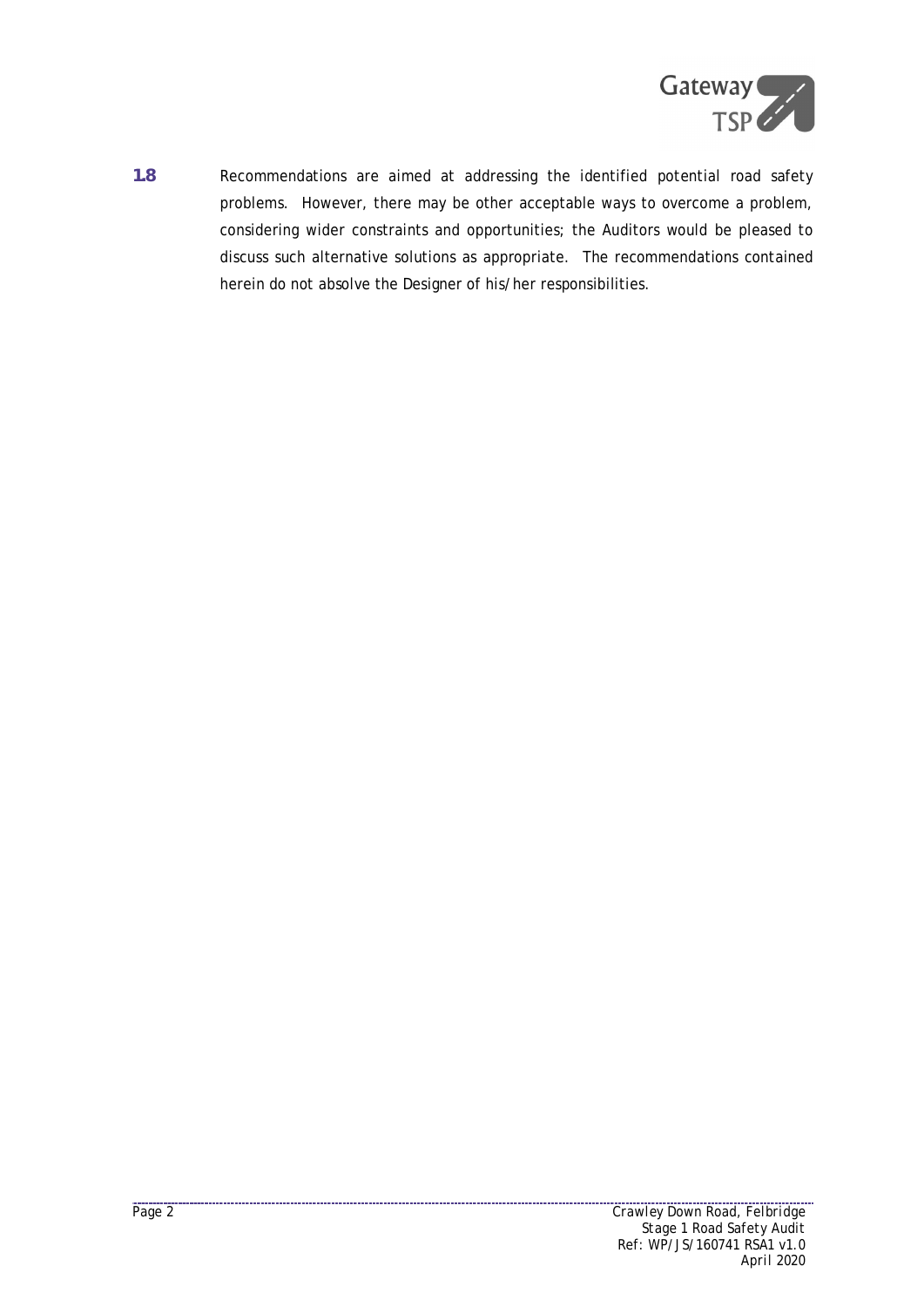

**1.8** Recommendations are aimed at addressing the identified potential road safety problems. However, there may be other acceptable ways to overcome a problem, considering wider constraints and opportunities; the Auditors would be pleased to discuss such alternative solutions as appropriate. The recommendations contained herein do not absolve the Designer of his/her responsibilities.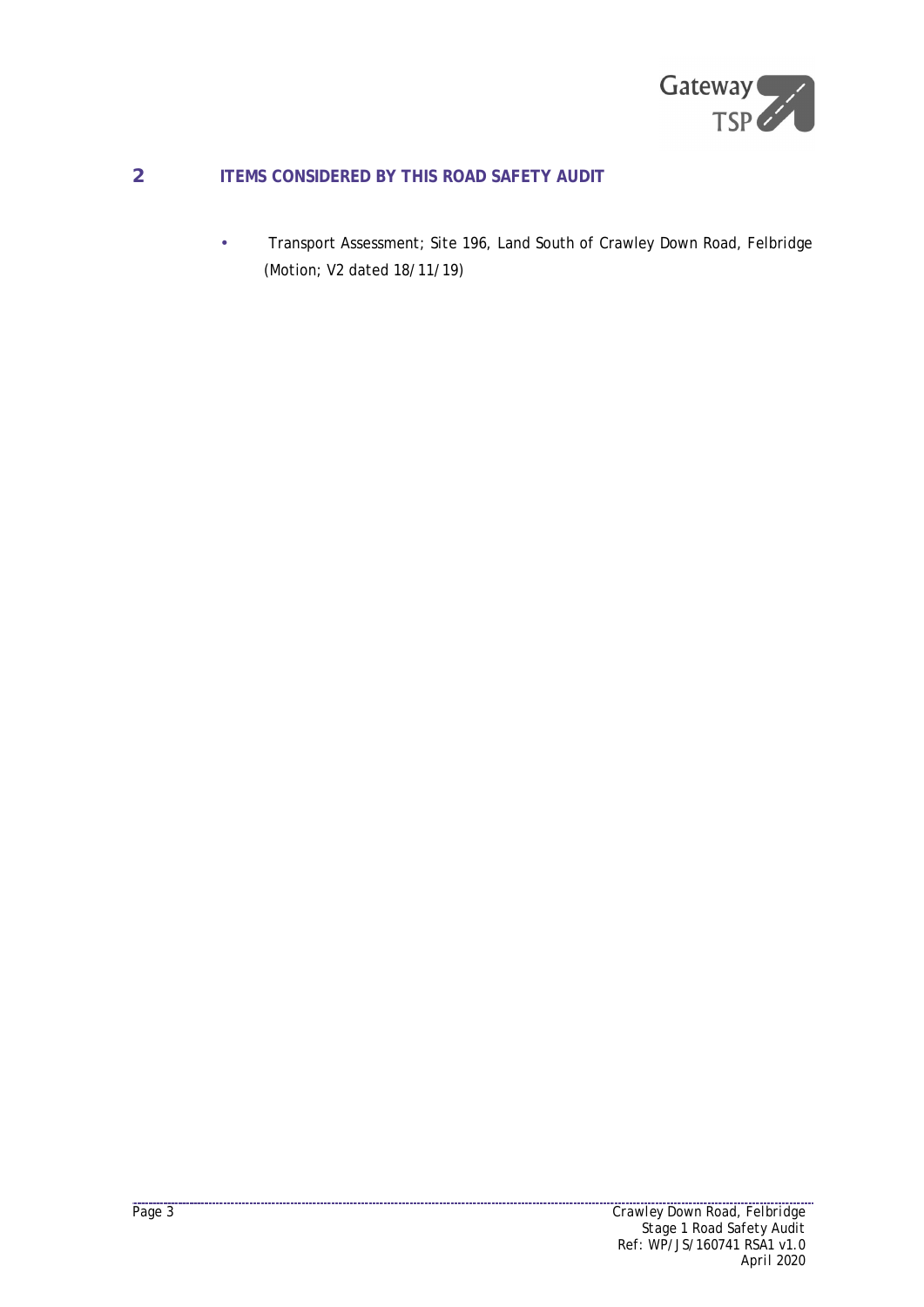

# **2 ITEMS CONSIDERED BY THIS ROAD SAFETY AUDIT**

 Transport Assessment; Site 196, Land South of Crawley Down Road, Felbridge ä, (Motion; V2 dated 18/11/19)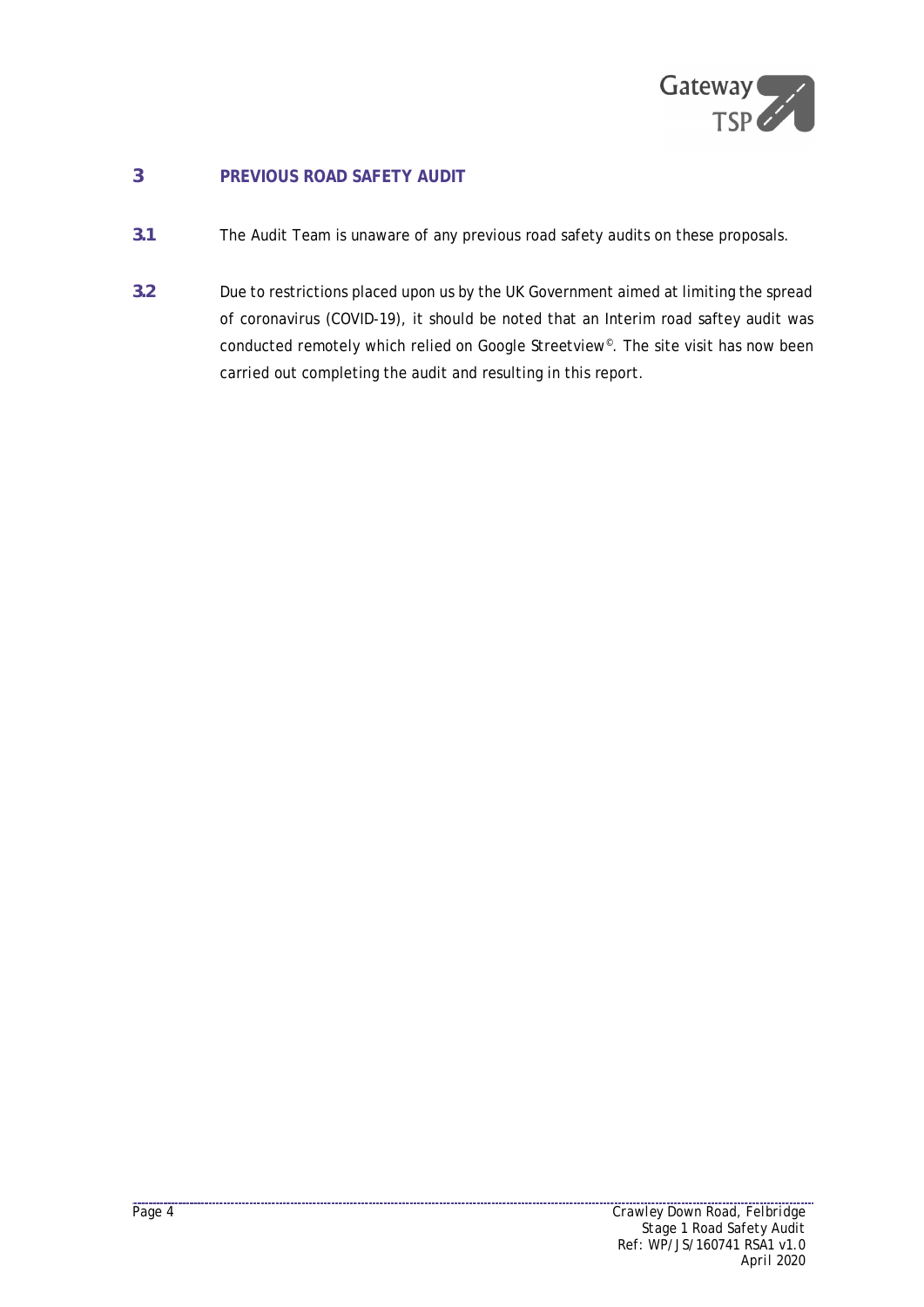

# **3 PREVIOUS ROAD SAFETY AUDIT**

- **3.1** The Audit Team is unaware of any previous road safety audits on these proposals.
- **3.2** Due to restrictions placed upon us by the UK Government aimed at limiting the spread of coronavirus (COVID-19), it should be noted that an Interim road saftey audit was conducted remotely which relied on Google Streetview<sup>®</sup>. The site visit has now been carried out completing the audit and resulting in this report.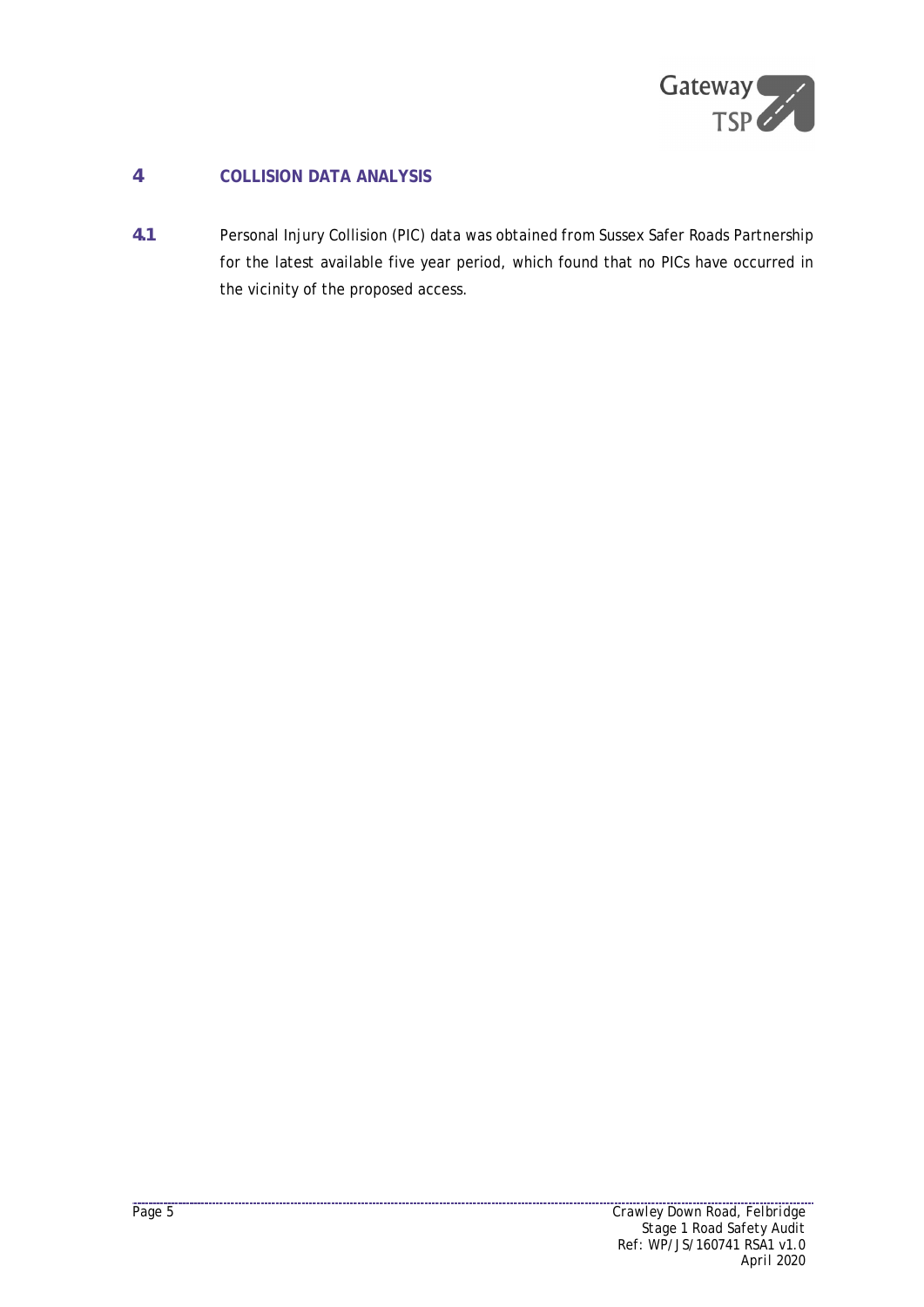

# **4 COLLISION DATA ANALYSIS**

**4.1** Personal Injury Collision (PIC) data was obtained from Sussex Safer Roads Partnership for the latest available five year period, which found that no PICs have occurred in the vicinity of the proposed access.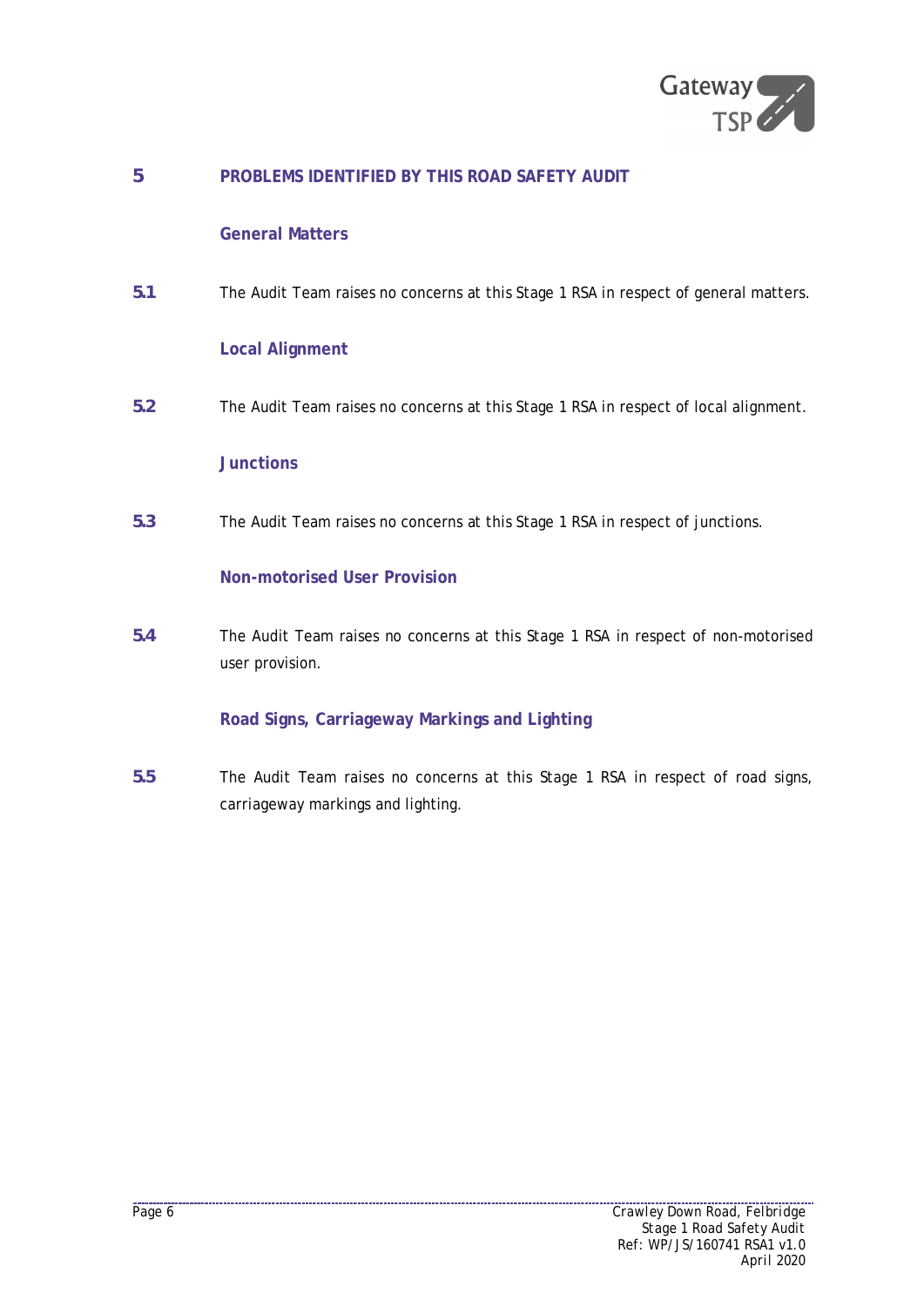

# **5 PROBLEMS IDENTIFIED BY THIS ROAD SAFETY AUDIT**

# **General Matters**

**5.1** The Audit Team raises no concerns at this Stage 1 RSA in respect of general matters.

# **Local Alignment**

**5.2** The Audit Team raises no concerns at this Stage 1 RSA in respect of local alignment.

#### **Junctions**

**5.3** The Audit Team raises no concerns at this Stage 1 RSA in respect of junctions.

#### **Non-motorised User Provision**

**5.4** The Audit Team raises no concerns at this Stage 1 RSA in respect of non-motorised user provision.

#### **Road Signs, Carriageway Markings and Lighting**

**5.5** The Audit Team raises no concerns at this Stage 1 RSA in respect of road signs, carriageway markings and lighting.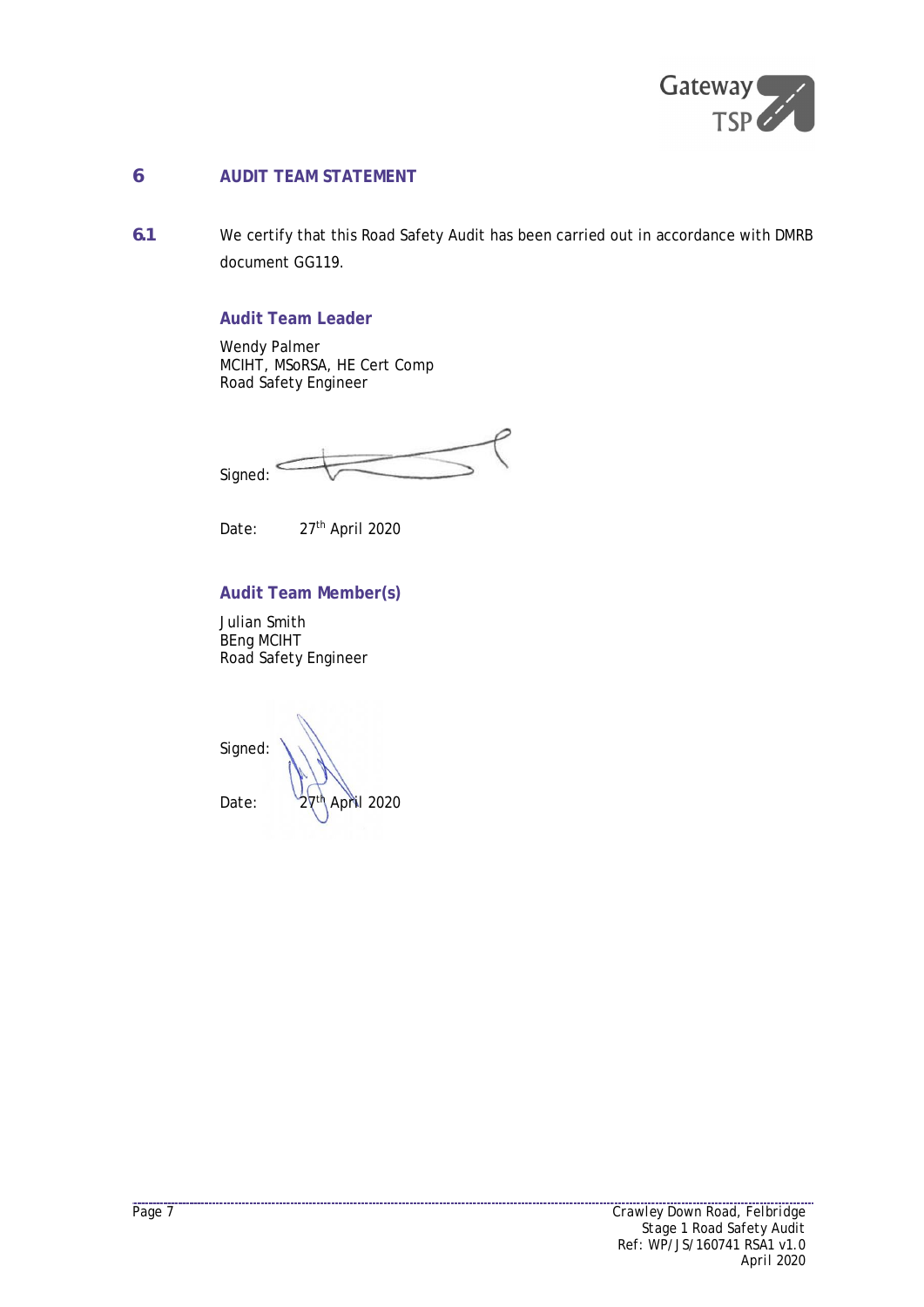

# **6 AUDIT TEAM STATEMENT**

**6.1** We certify that this Road Safety Audit has been carried out in accordance with DMRB document GG119.

# **Audit Team Leader**

Wendy Palmer MCIHT, MSoRSA, HE Cert Comp Road Safety Engineer

Signed:

Date: 27<sup>th</sup> April 2020

### **Audit Team Member(s)**

Julian Smith BEng MCIHT Road Safety Engineer

Signed: Date:  $27<sup>th</sup>$  April 2020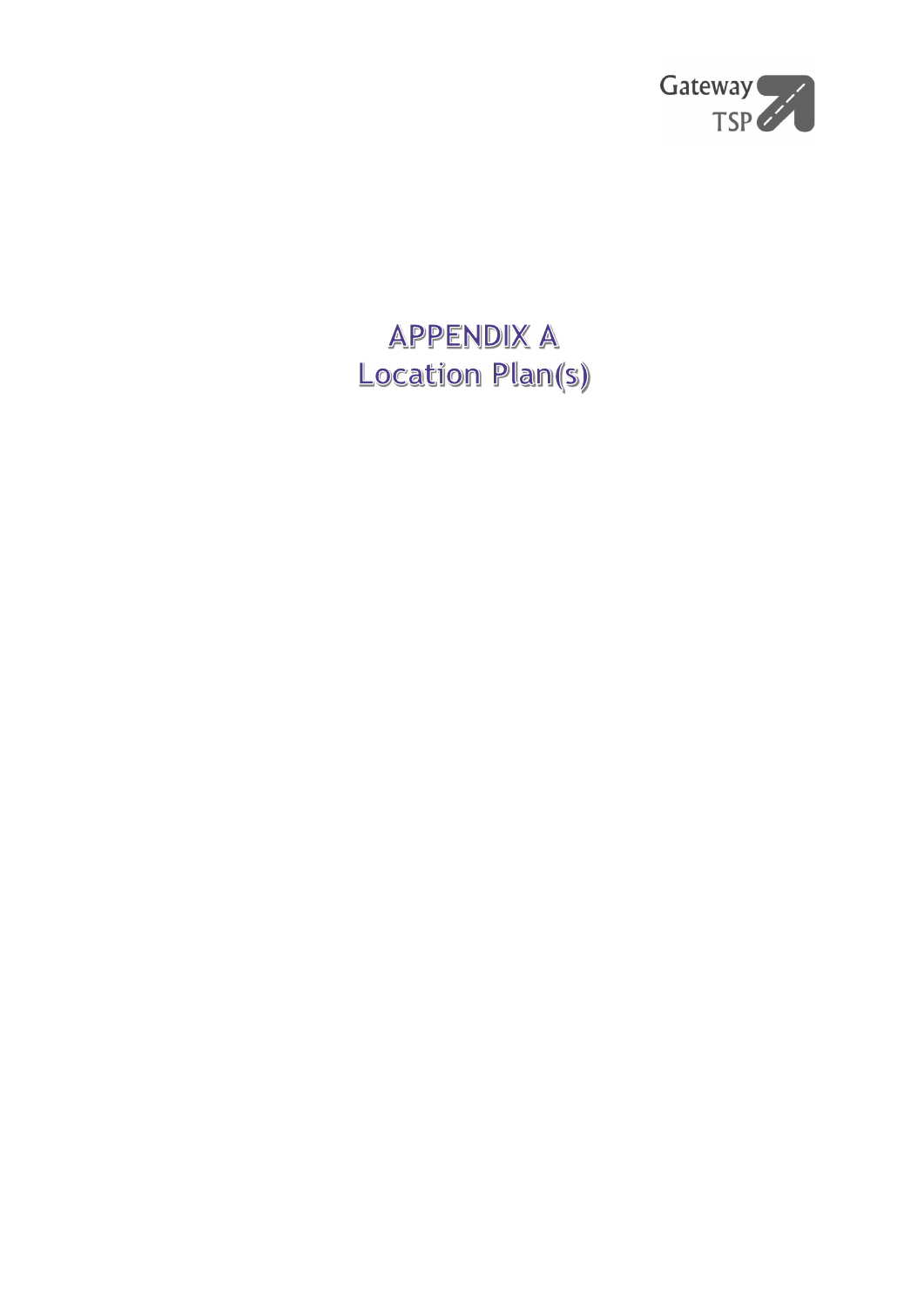

# **APPENDIX A** Location Plan(s)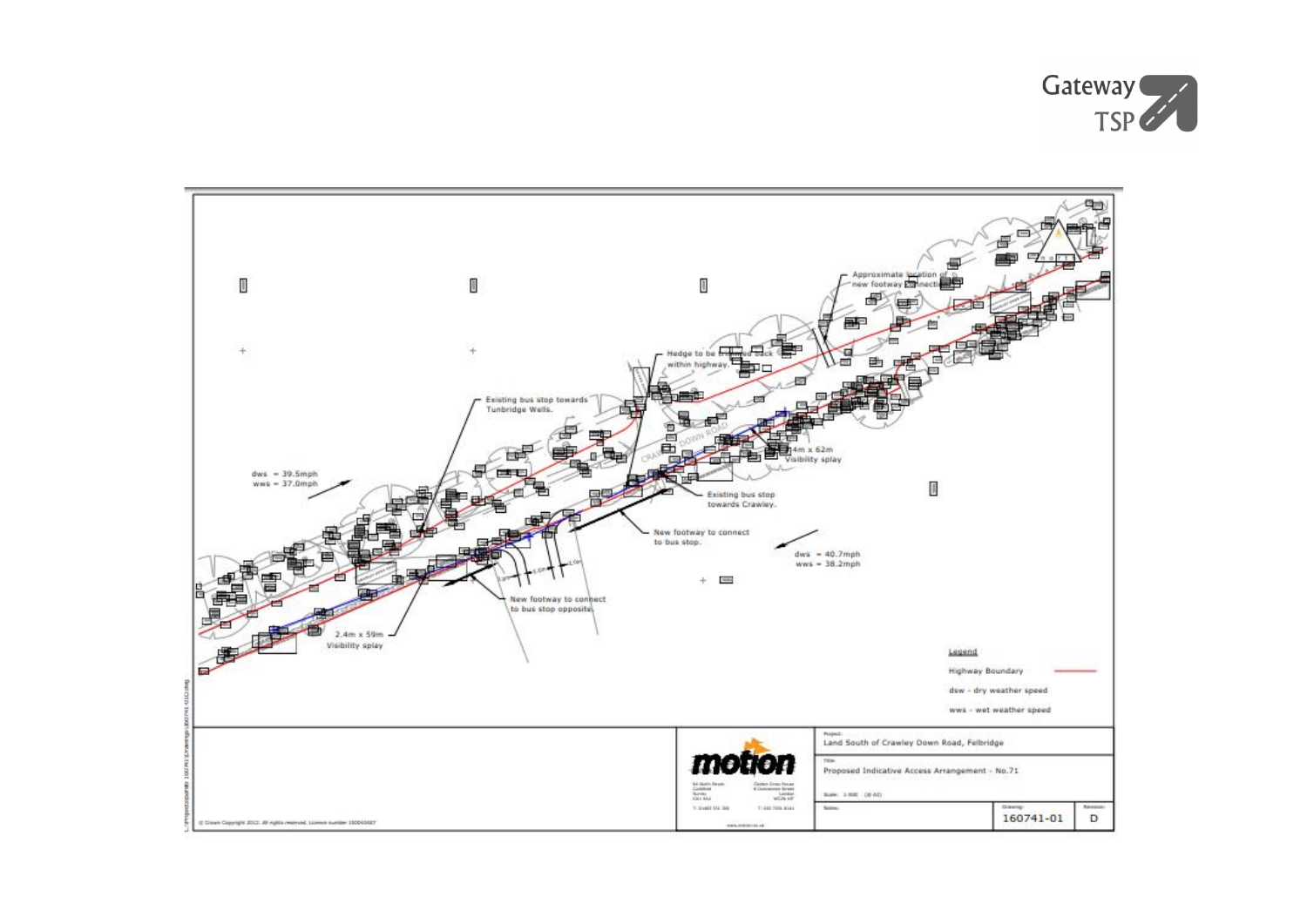

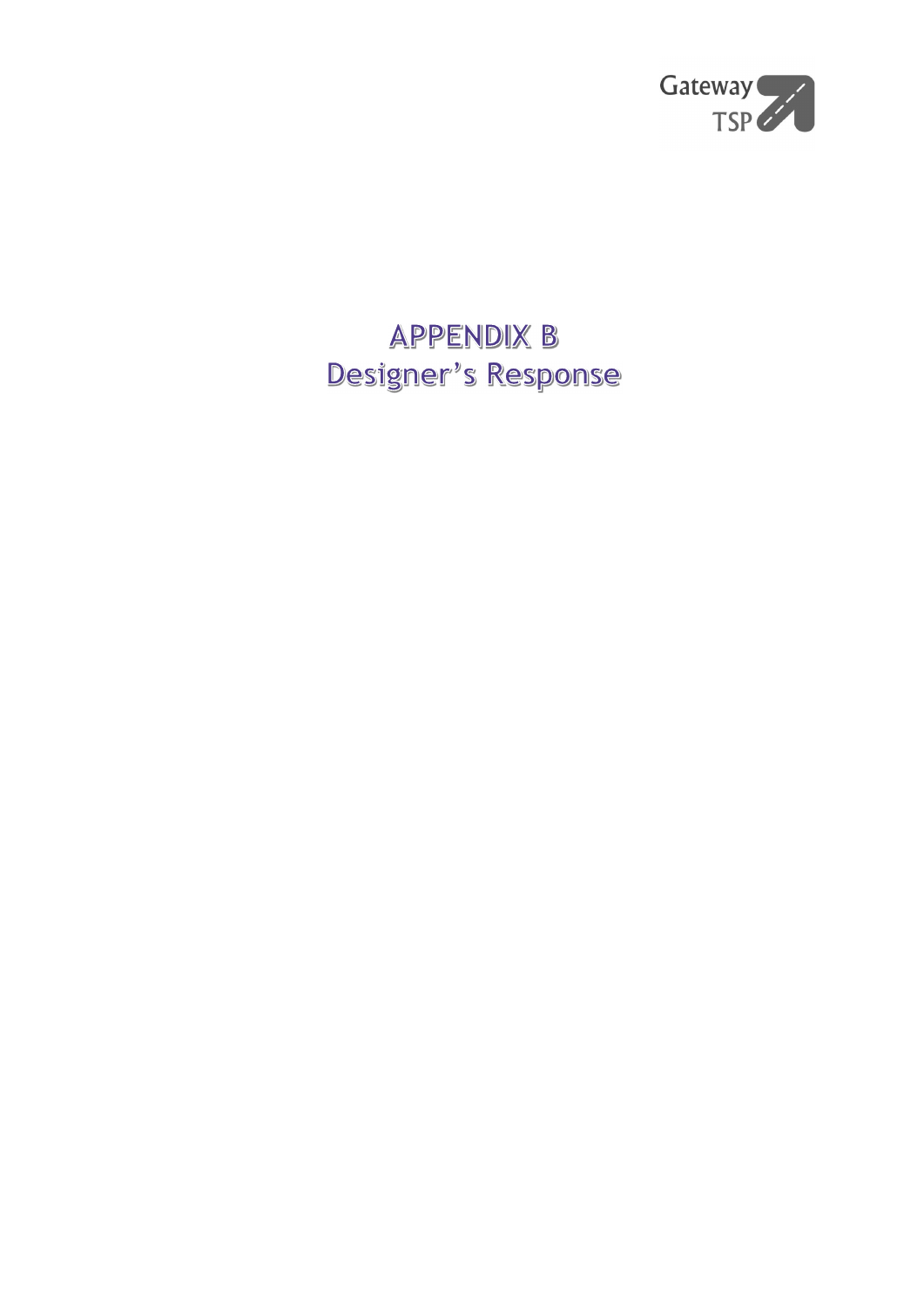

# **APPENDIX B** Designer's Response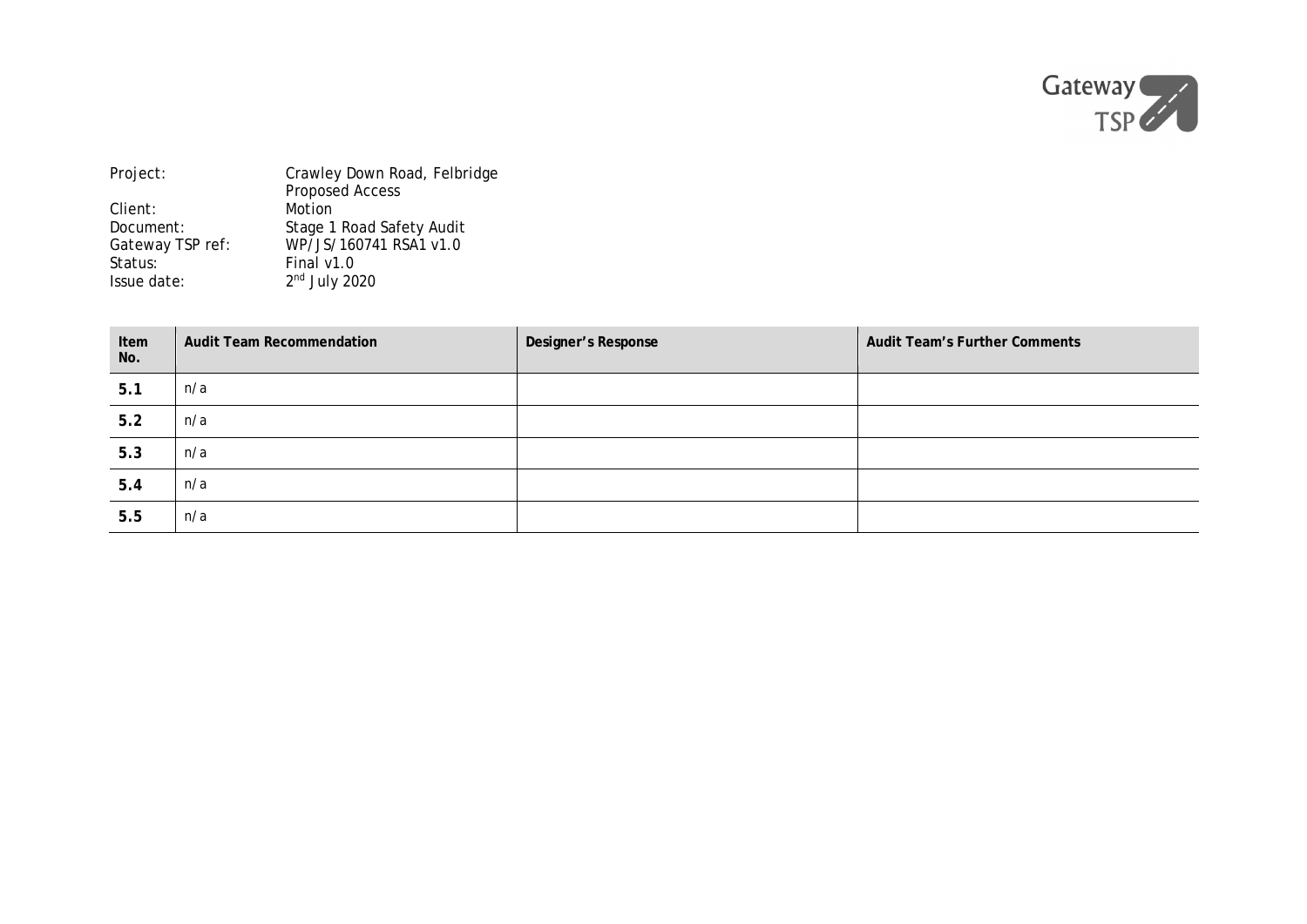

| Project:         | Crawley Down Road, Felbridge |  |
|------------------|------------------------------|--|
|                  | <b>Proposed Access</b>       |  |
| Client:          | Motion                       |  |
| Document:        | Stage 1 Road Safety Audit    |  |
| Gateway TSP ref: | WP/JS/160741 RSA1 v1.0       |  |
| Status:          | Final $v1.0$                 |  |
| Issue date:      | $2nd$ July 2020              |  |

| Item<br>No. | Audit Team Recommendation | Designer's Response | Audit Team's Further Comments |
|-------------|---------------------------|---------------------|-------------------------------|
| 5.1         | n/a                       |                     |                               |
| 5.2         | n/a                       |                     |                               |
| 5.3         | n/a                       |                     |                               |
| 5.4         | n/a                       |                     |                               |
| 5.5         | n/a                       |                     |                               |